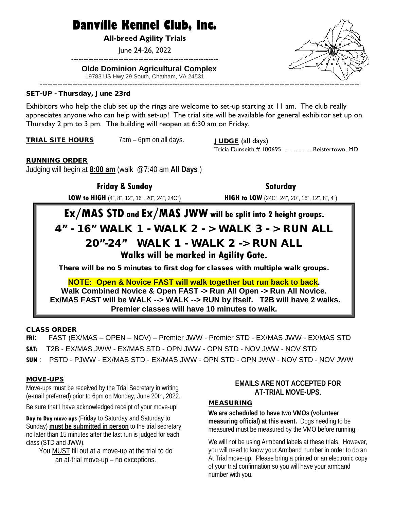# **Danville Kennel Club, Inc.**

**All-breed Agility Trials**

June 24-26, 2022

-----------------------------------------------------------

#### **Olde Dominion Agricultural Complex**

19783 US Hwy 29 South, Chatham, VA 24531

#### SET-UP - Thursday, June 23rd

Exhibitors who help the club set up the rings are welcome to set-up starting at 11 am. The club really appreciates anyone who can help with set-up! The trial site will be available for general exhibitor set up on Thursday 2 pm to 3 pm. The building will reopen at 6:30 am on Friday.

TRIAL SITE HOURS 7am – 6pm on all days. JUDGE (all days)

Tricia Dunseith # 100695 ........ ..... Reistertown, MD

#### RUNNING ORDER

Judging will begin at **8:00 am** (walk @7:40 am **All Days** )

**Friday & Sunday 2008 and 2008 Saturday Saturday** 

**LOW to HIGH** (4", 8", 12", 16", 20", 24", 24C") **HIGH to LOW** (24C", 24", 20", 16", 12", 8", 4")

# **Ex/MAS STD and Ex/MAS JWW will be split into 2 height groups.** 4" - 16" WALK 1 - WALK 2 - > WALK 3 - > RUN ALL 20"-24" WALK 1 - WALK 2 -> RUN ALL **Walks will be marked in Agility Gate.**

There will be no 5 minutes to first dog for classes with multiple walk groups.

**NOTE: Open & Novice FAST will walk together but run back to back. Walk Combined Novice & Open FAST -> Run All Open -> Run All Novice. Ex/MAS FAST will be WALK --> WALK --> RUN by itself. T2B will have 2 walks. Premier classes will have 10 minutes to walk.**

CLASS ORDER

**FRI**: FAST (EX/MAS – OPEN – NOV) – Premier JWW - Premier STD - EX/MAS JWW - EX/MAS STD

**SAT:** T2B - EX/MAS JWW - EX/MAS STD - OPN JWW - OPN STD - NOV JWW - NOV STD

**SUN** : PSTD - PJWW - EX/MAS STD - EX/MAS JWW - OPN STD - OPN JWW - NOV STD - NOV JWW

#### MOVE-UPS

Move-ups must be received by the Trial Secretary in writing (e-mail preferred) prior to 6pm on Monday, June 20th, 2022.

Be sure that I have acknowledged receipt of your move-up!

**Day to Day move ups** (Friday to Saturday and Saturday to Sunday) **must be submitted in person** to the trial secretary no later than 15 minutes after the last run is judged for each class (STD and JWW).

You MUST fill out at a move-up at the trial to do an at-trial move-up – no exceptions.

#### **EMAILS ARE NOT ACCEPTED FOR AT-TRIAL MOVE-UPS**.

#### **MEASURING**

**We are scheduled to have two VMOs (volunteer measuring official) at this event.** Dogs needing to be measured must be measured by the VMO before running.

We will not be using Armband labels at these trials. However, you will need to know your Armband number in order to do an At Trial move-up. Please bring a printed or an electronic copy of your trial confirmation so you will have your armband number with you.

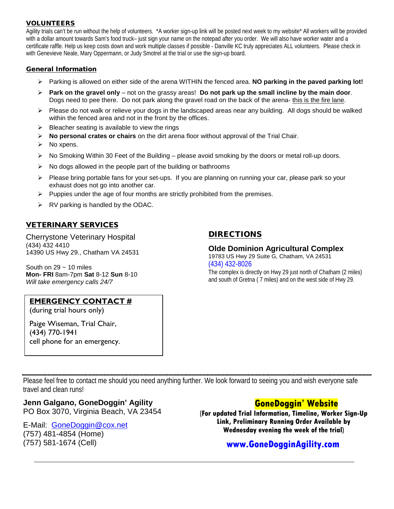#### VOLUNTEERS

Agility trials can't be run without the help of volunteers. \*A worker sign-up link will be posted next week to my website\* All workers will be provided with a dollar amount towards Sam's food truck– just sign your name on the notepad after you order. We will also have worker water and a certificate raffle. Help us keep costs down and work multiple classes if possible - Danville KC truly appreciates ALL volunteers. Please check in with Genevieve Neale, Mary Oppermann, or Judy Smotrel at the trial or use the sign-up board.

#### General Information

- Parking is allowed on either side of the arena WITHIN the fenced area. **NO parking in the paved parking lot!**
- **Park on the gravel only** not on the grassy areas! **Do not park up the small incline by the main door**. Dogs need to pee there. Do not park along the gravel road on the back of the arena- this is the fire lane.
- $\triangleright$  Please do not walk or relieve your dogs in the landscaped areas near any building. All dogs should be walked within the fenced area and not in the front by the offices.
- $\triangleright$  Bleacher seating is available to view the rings
- **No personal crates or chairs** on the dirt arena floor without approval of the Trial Chair.
- $\triangleright$  No xpens.
- $\triangleright$  No Smoking Within 30 Feet of the Building please avoid smoking by the doors or metal roll-up doors.
- $\triangleright$  No dogs allowed in the people part of the building or bathrooms
- $\triangleright$  Please bring portable fans for your set-ups. If you are planning on running your car, please park so your exhaust does not go into another car.
- $\triangleright$  Puppies under the age of four months are strictly prohibited from the premises.
- $\triangleright$  RV parking is handled by the ODAC.

#### **VETERINARY SERVICES**

Cherrystone Veterinary Hospital (434) 432 4410 14390 US Hwy 29., Chatham VA 24531

South on  $29 \sim 10$  miles **Mon- FRI** 8am-7pm **Sat** 8-12 **Sun** 8-10 *Will take emergency calls 24/7*

#### **EMERGENCY CONTACT #**

(during trial hours only)

Paige Wiseman, Trial Chair, (434) 770-1941 cell phone for an emergency.

### DIRECTIONS

## **Olde Dominion Agricultural Complex**

19783 US Hwy 29 Suite G, Chatham, VA 24531 (434) 432-8026

The complex is directly on Hwy 29 just north of Chatham (2 miles) and south of Gretna ( 7 miles) and on the west side of Hwy 29.

Please feel free to contact me should you need anything further. We look forward to seeing you and wish everyone safe travel and clean runs!

## **Jenn Galgano, GoneDoggin' Agility**

PO Box 3070, Virginia Beach, VA 23454

#### E-Mail: [GoneDoggin@cox.net](mailto:GoneDoggin@cox.net) (757) 481-4854 (Home) (757) 581-1674 (Cell)

## **GoneDoggin' Website**

**(For updated Trial Information, Timeline, Worker Sign-Up Link, Preliminary Running Order Available by Wednesday evening the week of the trial)**

## **[www.GoneDogginAgility.com](http://www.gonedogginagility.com/)**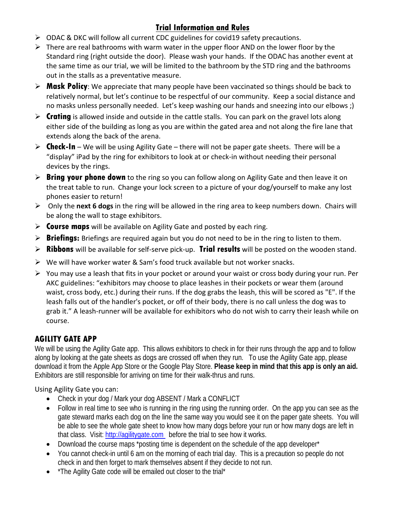## **Trial Information and Rules**

- $\triangleright$  ODAC & DKC will follow all current CDC guidelines for covid19 safety precautions.
- $\triangleright$  There are real bathrooms with warm water in the upper floor AND on the lower floor by the Standard ring (right outside the door). Please wash your hands. If the ODAC has another event at the same time as our trial, we will be limited to the bathroom by the STD ring and the bathrooms out in the stalls as a preventative measure.
- **Mask Policy**: We appreciate that many people have been vaccinated so things should be back to relatively normal, but let's continue to be respectful of our community. Keep a social distance and no masks unless personally needed. Let's keep washing our hands and sneezing into our elbows ;)
- **Fating** is allowed inside and outside in the cattle stalls. You can park on the gravel lots along either side of the building as long as you are within the gated area and not along the fire lane that extends along the back of the arena.
- **Check-In** We will be using Agility Gate there will not be paper gate sheets. There will be a "display" iPad by the ring for exhibitors to look at or check-in without needing their personal devices by the rings.
- **Bring your phone down** to the ring so you can follow along on Agility Gate and then leave it on the treat table to run. Change your lock screen to a picture of your dog/yourself to make any lost phones easier to return!
- Only the **next 6 dogs** in the ring will be allowed in the ring area to keep numbers down. Chairs will be along the wall to stage exhibitors.
- **Course maps** will be available on Agility Gate and posted by each ring.
- **Briefings:** Briefings are required again but you do not need to be in the ring to listen to them.
- **Ribbons** will be available for self-serve pick-up. **Trial results** will be posted on the wooden stand.
- $\triangleright$  We will have worker water & Sam's food truck available but not worker snacks.
- $\triangleright$  You may use a leash that fits in your pocket or around your waist or cross body during your run. Per AKC guidelines: "exhibitors may choose to place leashes in their pockets or wear them (around waist, cross body, etc.) during their runs. If the dog grabs the leash, this will be scored as "E". If the leash falls out of the handler's pocket, or off of their body, there is no call unless the dog was to grab it." A leash-runner will be available for exhibitors who do not wish to carry their leash while on course.

## **AGILITY GATE APP**

We will be using the Agility Gate app. This allows exhibitors to check in for their runs through the app and to follow along by looking at the gate sheets as dogs are crossed off when they run. To use the Agility Gate app, please download it from the Apple App Store or the Google Play Store. **Please keep in mind that this app is only an aid.** Exhibitors are still responsible for arriving on time for their walk-thrus and runs.

### Using Agility Gate you can:

- Check in your dog / Mark your dog ABSENT / Mark a CONFLICT
- Follow in real time to see who is running in the ring using the running order. On the app you can see as the gate steward marks each dog on the line the same way you would see it on the paper gate sheets. You will be able to see the whole gate sheet to know how many dogs before your run or how many dogs are left in that class. Visit: http://agilitygate.com before the trial to see how it works.
- Download the course maps \*posting time is dependent on the schedule of the app developer\*
- You cannot check-in until 6 am on the morning of each trial day. This is a precaution so people do not check in and then forget to mark themselves absent if they decide to not run.
- \*The Agility Gate code will be emailed out closer to the trial\*